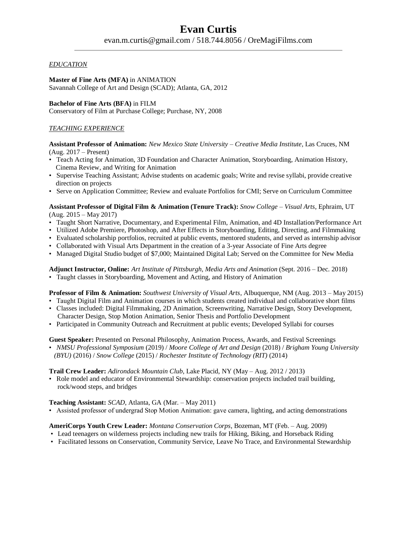## *EDUCATION*

**Master of Fine Arts (MFA)** in ANIMATION Savannah College of Art and Design (SCAD); Atlanta, GA, 2012

**Bachelor of Fine Arts (BFA)** in FILM

Conservatory of Film at Purchase College; Purchase, NY, 2008

# *TEACHING EXPERIENCE*

**Assistant Professor of Animation:** *New Mexico State University – Creative Media Institute,* Las Cruces, NM (Aug. 2017 – Present)

- Teach Acting for Animation, 3D Foundation and Character Animation, Storyboarding, Animation History, Cinema Review, and Writing for Animation
- Supervise Teaching Assistant; Advise students on academic goals; Write and revise syllabi, provide creative direction on projects
- Serve on Application Committee; Review and evaluate Portfolios for CMI; Serve on Curriculum Committee

**Assistant Professor of Digital Film & Animation (Tenure Track):** *Snow College – Visual Arts*, Ephraim, UT (Aug. 2015 – May 2017)

- Taught Short Narrative, Documentary, and Experimental Film, Animation, and 4D Installation/Performance Art
- Utilized Adobe Premiere, Photoshop, and After Effects in Storyboarding, Editing, Directing, and Filmmaking
- Evaluated scholarship portfolios, recruited at public events, mentored students, and served as internship advisor
- Collaborated with Visual Arts Department in the creation of a 3-year Associate of Fine Arts degree
- Managed Digital Studio budget of \$7,000; Maintained Digital Lab; Served on the Committee for New Media

**Adjunct Instructor, Online:** *Art Institute of Pittsburgh, Media Arts and Animation* (Sept. 2016 – Dec. 2018) • Taught classes in Storyboarding, Movement and Acting, and History of Animation

**Professor of Film & Animation:** *Southwest University of Visual Arts*, Albuquerque, NM (Aug. 2013 – May 2015)

- Taught Digital Film and Animation courses in which students created individual and collaborative short films
- Classes included: Digital Filmmaking, 2D Animation, Screenwriting, Narrative Design, Story Development, Character Design, Stop Motion Animation, Senior Thesis and Portfolio Development
- Participated in Community Outreach and Recruitment at public events; Developed Syllabi for courses

**Guest Speaker:** Presented on Personal Philosophy, Animation Process, Awards, and Festival Screenings

• *NMSU Professional Symposium* (2019) / *Moore College of Art and Design* (2018) / *Brigham Young University (BYU)* (2016) / *Snow College* (2015) / *Rochester Institute of Technology (RIT)* (2014)

### **Trail Crew Leader:** *Adirondack Mountain Club*, Lake Placid, NY (May – Aug. 2012 / 2013)

• Role model and educator of Environmental Stewardship: conservation projects included trail building, rock/wood steps, and bridges

## **Teaching Assistant:** *SCAD*, Atlanta, GA (Mar. – May 2011)

• Assisted professor of undergrad Stop Motion Animation: gave camera, lighting, and acting demonstrations

## **AmeriCorps Youth Crew Leader:** *Montana Conservation Corps*, Bozeman, MT (Feb. – Aug. 2009)

- Lead teenagers on wilderness projects including new trails for Hiking, Biking, and Horseback Riding
- Facilitated lessons on Conservation, Community Service, Leave No Trace, and Environmental Stewardship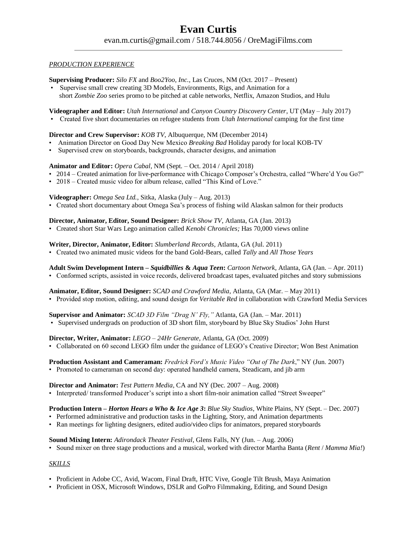### *PRODUCTION EXPERIENCE*

**Supervising Producer:** *Silo FX* and *Boo2Yoo, Inc.,* Las Cruces, NM (Oct. 2017 – Present)

• Supervise small crew creating 3D Models, Environments, Rigs, and Animation for a short *Zombie Zoo* series promo to be pitched at cable networks, Netflix, Amazon Studios, and Hulu

**Videographer and Editor:** *Utah International* and *Canyon Country Discovery Center*, UT (May – July 2017)

• Created five short documentaries on refugee students from *Utah International* camping for the first time

### **Director and Crew Supervisor:** *KOB TV*, Albuquerque, NM (December 2014)

- Animation Director on Good Day New Mexico *Breaking Bad* Holiday parody for local KOB-TV
- Supervised crew on storyboards, backgrounds, character designs, and animation

### **Animator and Editor:** *Opera Cabal*, NM (Sept. – Oct. 2014 / April 2018)

- 2014 Created animation for live-performance with Chicago Composer's Orchestra, called "Where'd You Go?"
- 2018 Created music video for album release, called "This Kind of Love."

### **Videographer:** *Omega Sea Ltd.*, Sitka, Alaska (July – Aug. 2013)

• Created short documentary about Omega Sea's process of fishing wild Alaskan salmon for their products

#### **Director, Animator, Editor, Sound Designer:** *Brick Show TV*, Atlanta, GA (Jan. 2013)

• Created short Star Wars Lego animation called *Kenobi Chronicles;* Has 70,000 views online

**Writer, Director, Animator, Editor:** *Slumberland Records*, Atlanta, GA (Jul. 2011)

• Created two animated music videos for the band Gold-Bears, called *Tally* and *All Those Years*

**Adult Swim Development Intern –** *Squidbillies* **&** *Aqua Teen***:** *Cartoon Network*, Atlanta, GA (Jan. – Apr. 2011)

• Conformed scripts, assisted in voice records, delivered broadcast tapes, evaluated pitches and story submissions

**Animator, Editor, Sound Designer:** *SCAD and Crawford Media*, Atlanta, GA (Mar. – May 2011)

• Provided stop motion, editing, and sound design for *Veritable Red* in collaboration with Crawford Media Services

## **Supervisor and Animator:** *SCAD 3D Film "Drag N' Fly,"* Atlanta, GA (Jan. – Mar. 2011)

• Supervised undergrads on production of 3D short film, storyboard by Blue Sky Studios' John Hurst

### **Director, Writer, Animator:** *LEGO – 24Hr Generate,* Atlanta, GA (Oct. 2009)

• Collaborated on 60 second LEGO film under the guidance of LEGO's Creative Director; Won Best Animation

### **Production Assistant and Cameraman:** *Fredrick Ford's Music Video "Out of The Dark*," NY (Jun. 2007)

• Promoted to cameraman on second day: operated handheld camera, Steadicam, and jib arm

### **Director and Animator:** *Test Pattern Media*, CA and NY (Dec. 2007 – Aug. 2008)

• Interpreted/ transformed Producer's script into a short film-noir animation called "Street Sweeper"

### **Production Intern –** *Horton Hears a Who* **&** *Ice Age 3***:** *Blue Sky Studios*, White Plains, NY (Sept. – Dec. 2007)

- Performed administrative and production tasks in the Lighting, Story, and Animation departments
- Ran meetings for lighting designers, edited audio/video clips for animators, prepared storyboards

### **Sound Mixing Intern:** *Adirondack Theater Festival*, Glens Falls, NY (Jun. – Aug. 2006)

• Sound mixer on three stage productions and a musical, worked with director Martha Banta (*Rent* / *Mamma Mia!*)

### *SKILLS*

- Proficient in Adobe CC, Avid, Wacom, Final Draft, HTC Vive, Google Tilt Brush, Maya Animation
- Proficient in OSX, Microsoft Windows, DSLR and GoPro Filmmaking, Editing, and Sound Design